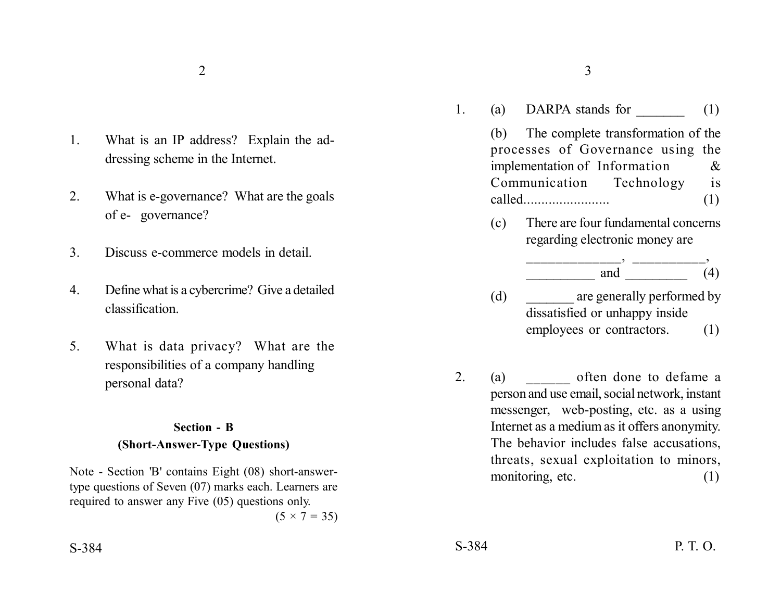1. What is an IP address? Explain the addressing scheme in the Internet.

- 2. What is e-governance? What are the goals of e- governance?
- 3. Discuss e-commerce models in detail.
- 4. Define what is a cybercrime? Give a detailed classification.
- 5. What is data privacy? What are the responsibilities of a company handling personal data?

### **Section - B (Short-Answer-Type Questions)**

Note - Section 'B' contains Eight (08) short-answertype questions of Seven (07) marks each. Learners are required to answer any Five (05) questions only.  $(5 \times 7 = 35)$ 

 $2\overline{3}$ 

1. (a) DARPA stands for  $(1)$ 

(b) The complete transformation of the processes of Governance using the implementation of Information & Communication Technology is called........................ (1)

(c) There are four fundamental concerns regarding electronic money are

$$
\overbrace{\hspace{1.5cm}}^{\hspace{1.5cm} \text{and}} \overbrace{\hspace{1.5cm}}^{\hspace{1.5cm} \text{and}} \overbrace{\hspace{1.5cm}}^{\hspace{1.5cm} \text{and}} \overbrace{\hspace{1.5cm}}^{\hspace{1.5cm} \text{and}} \overbrace{\hspace{1.5cm}}^{\hspace{1.5cm} \text{and}} \overbrace{\hspace{1.5cm}}^{\hspace{1.5cm} \text{and}} \overbrace{\hspace{1.5cm}}^{\hspace{1.5cm} \text{and}} \overbrace{\hspace{1.5cm}}^{\hspace{1.5cm} \text{and}} \overbrace{\hspace{1.5cm}}^{\hspace{1.5cm} \text{and}} \overbrace{\hspace{1.5cm}}^{\hspace{1.5cm} \text{and}} \overbrace{\hspace{1.5cm}}^{\hspace{1.5cm} \text{and}} \overbrace{\hspace{1.5cm}}^{\hspace{1.5cm} \text{and}} \overbrace{\hspace{1.5cm}}^{\hspace{1.5cm} \text{and}} \overbrace{\hspace{1.5cm}}^{\hspace{1.5cm} \text{and}} \overbrace{\hspace{1.5cm}}^{\hspace{1.5cm} \text{and}} \overbrace{\hspace{1.5cm}}^{\hspace{1.5cm} \text{and}} \overbrace{\hspace{1.5cm}}^{\hspace{1.5cm} \text{and}} \overbrace{\hspace{1.5cm}}^{\hspace{1.5cm} \text{and}} \overbrace{\hspace{1.5cm}}^{\hspace{1.5cm} \text{and}} \overbrace{\hspace{1.5cm}}^{\hspace{1.5cm} \text{and}} \overbrace{\hspace{1.5cm}}^{\hspace{1.5cm} \text{and}} \overbrace{\hspace{1.5cm}}^{\hspace{1.5cm} \text{and}} \overbrace{\hspace{1.5cm}}^{\hspace{1.5cm} \text{and}} \overbrace{\hspace{1.5cm}}^{\hspace{1.5cm} \text{and}} \overbrace{\hspace{1.5cm}}^{\hspace{1.5cm} \text{and}} \overbrace{\hspace{1.5cm}}^{\hspace{1.5cm} \text{and}} \overbrace{\hspace{1.5cm}}^{\hspace{1.5cm} \text{and}} \overbrace{\hspace{1.5cm}}^{\hspace{1.5cm} \text{and}} \overbrace{\
$$

- (d) are generally performed by dissatisfied or unhappy inside employees or contractors. (1)
- 2. (a) often done to defame a person and use email, social network, instant messenger, web-posting, etc. as a using Internet as a medium as it offers anonymity. The behavior includes false accusations, threats, sexual exploitation to minors, monitoring, etc. (1)